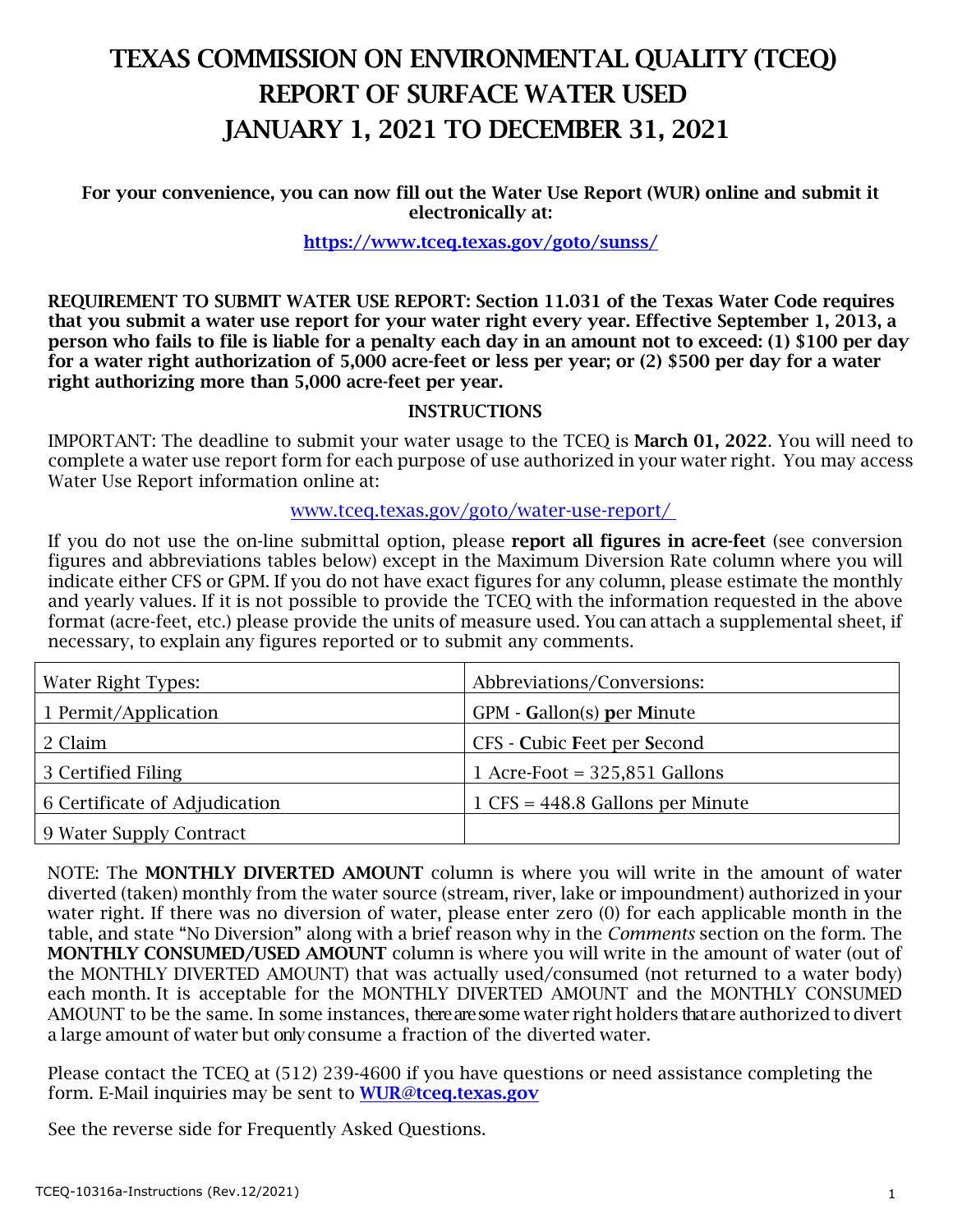# TEXAS COMMISSION ON ENVIRONMENTAL QUALITY (TCEQ) REPORT OF SURFACE WATER USED JANUARY 1, 2021 TO DECEMBER 31, 2021

## For your convenience, you can now fill out the Water Use Report (WUR) online and submit it electronically at:

## <https://www.tceq.texas.gov/goto/sunss/>

REQUIREMENT TO SUBMIT WATER USE REPORT: Section 11.031 of the Texas Water Code requires that you submit a water use report for your water right every year. Effective September 1, 2013, a person who fails to file is liable for a penalty each day in an amount not to exceed: (1) \$100 per day for a water right authorization of 5,000 acre-feet or less per year; or (2) \$500 per day for a water right authorizing more than 5,000 acre-feet per year.

#### INSTRUCTIONS

IMPORTANT: The deadline to submit your water usage to the TCEQ is March 01, 2022. You will need to complete a water use report form for each purpose of use authorized in your water right. You may access Water Use Report information online at:

#### [www.tceq.texas.gov/goto/water-use-report/](http://www.tceq.texas.gov/goto/water-use-report/)

If you do not use the on-line submittal option, please report all figures in acre-feet (see conversion figures and abbreviations tables below) except in the Maximum Diversion Rate column where you will indicate either CFS or GPM. If you do not have exact figures for any column, please estimate the monthly and yearly values. If it is not possible to provide the TCEQ with the information requested in the above format (acre-feet, etc.) please provide the units of measure used. You can attach a supplemental sheet, if necessary, to explain any figures reported or to submit any comments.

| Water Right Types:            | Abbreviations/Conversions:         |
|-------------------------------|------------------------------------|
| 1 Permit/Application          | GPM - Gallon(s) per Minute         |
| 2 Claim                       | CFS - Cubic Feet per Second        |
| 3 Certified Filing            | 1 Acre-Foot = $325,851$ Gallons    |
| 6 Certificate of Adjudication | $1 CFS = 448.8$ Gallons per Minute |
| 9 Water Supply Contract       |                                    |

NOTE: The MONTHLY DIVERTED AMOUNT column is where you will write in the amount of water diverted (taken) monthly from the water source (stream, river, lake or impoundment) authorized in your water right. If there was no diversion of water, please enter zero (0) for each applicable month in the table, and state "No Diversion" along with a brief reason why in the *Comments* section on the form. The MONTHLY CONSUMED/USED AMOUNT column is where you will write in the amount of water (out of the MONTHLY DIVERTED AMOUNT) that was actually used/consumed (not returned to a water body) each month. It is acceptable for the MONTHLY DIVERTED AMOUNT and the MONTHLY CONSUMED AMOUNT to be the same. In some instances, there are some water right holders that are authorized to divert a large amount of water but only consume a fraction of the diverted water.

Please contact the TCEQ at (512) 239-4600 if you have questions or need assistance completing the form. E-Mail inquiries may be sent to **[WUR@tceq.texas.gov](mailto:WUR@tceq.texas.gov)** 

See the reverse side for Frequently Asked Questions.